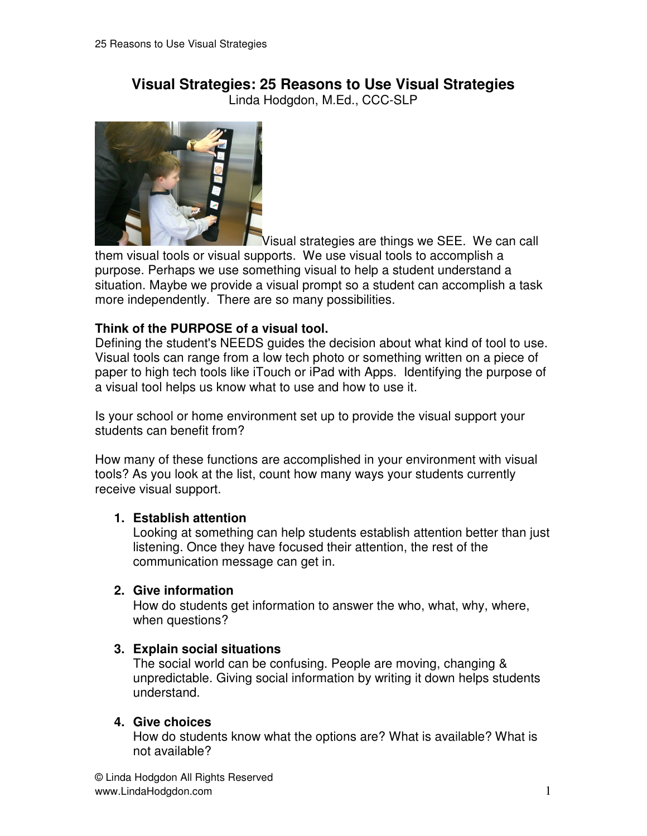# **Visual Strategies: 25 Reasons to Use Visual Strategies**

Linda Hodgdon, M.Ed., CCC-SLP



Visual strategies are things we SEE. We can call them visual tools or visual supports. We use visual tools to accomplish a purpose. Perhaps we use something visual to help a student understand a situation. Maybe we provide a visual prompt so a student can accomplish a task more independently. There are so many possibilities.

## **Think of the PURPOSE of a visual tool.**

Defining the student's NEEDS guides the decision about what kind of tool to use. Visual tools can range from a low tech photo or something written on a piece of paper to high tech tools like iTouch or iPad with Apps. Identifying the purpose of a visual tool helps us know what to use and how to use it.

Is your school or home environment set up to provide the visual support your students can benefit from?

How many of these functions are accomplished in your environment with visual tools? As you look at the list, count how many ways your students currently receive visual support.

## **1. Establish attention**

 Looking at something can help students establish attention better than just listening. Once they have focused their attention, the rest of the communication message can get in.

## **2. Give information**

 How do students get information to answer the who, what, why, where, when questions?

# **3. Explain social situations**

 The social world can be confusing. People are moving, changing & unpredictable. Giving social information by writing it down helps students understand.

## **4. Give choices**

 How do students know what the options are? What is available? What is not available?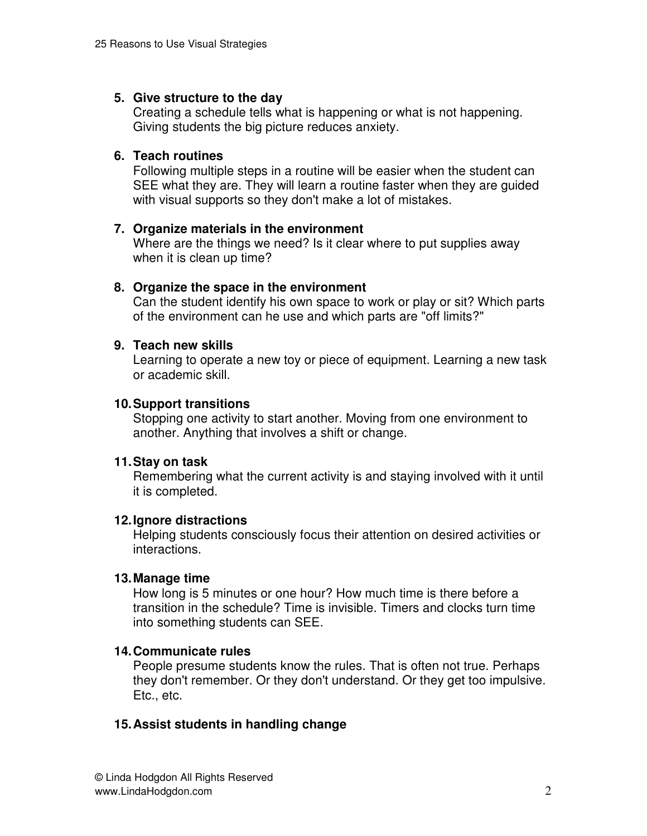## **5. Give structure to the day**

 Creating a schedule tells what is happening or what is not happening. Giving students the big picture reduces anxiety.

#### **6. Teach routines**

 Following multiple steps in a routine will be easier when the student can SEE what they are. They will learn a routine faster when they are guided with visual supports so they don't make a lot of mistakes.

#### **7. Organize materials in the environment**

 Where are the things we need? Is it clear where to put supplies away when it is clean up time?

#### **8. Organize the space in the environment**

 Can the student identify his own space to work or play or sit? Which parts of the environment can he use and which parts are "off limits?"

## **9. Teach new skills**

 Learning to operate a new toy or piece of equipment. Learning a new task or academic skill.

#### **10. Support transitions**

 Stopping one activity to start another. Moving from one environment to another. Anything that involves a shift or change.

#### **11. Stay on task**

 Remembering what the current activity is and staying involved with it until it is completed.

#### **12. Ignore distractions**

 Helping students consciously focus their attention on desired activities or interactions.

#### **13. Manage time**

 How long is 5 minutes or one hour? How much time is there before a transition in the schedule? Time is invisible. Timers and clocks turn time into something students can SEE.

#### **14. Communicate rules**

 People presume students know the rules. That is often not true. Perhaps they don't remember. Or they don't understand. Or they get too impulsive. Etc., etc.

## **15. Assist students in handling change**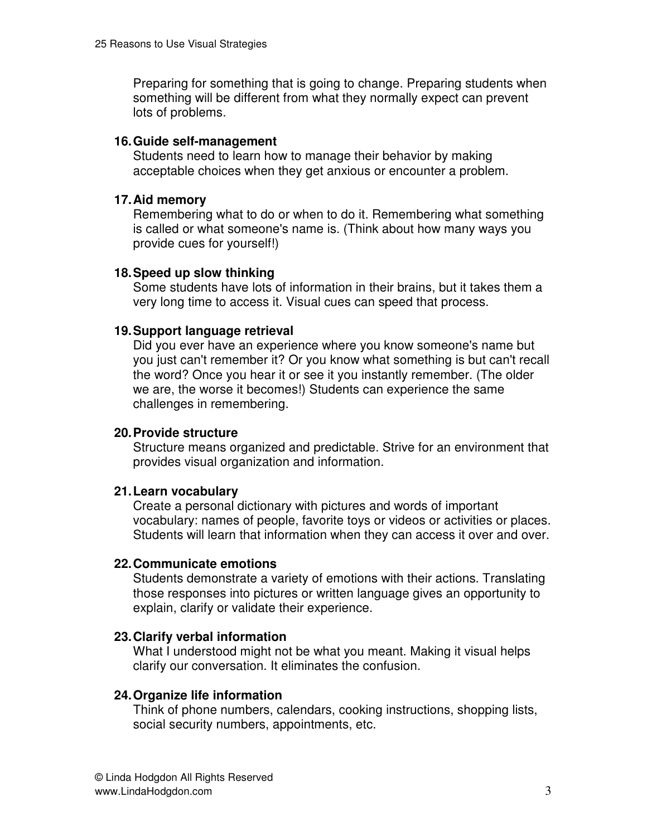Preparing for something that is going to change. Preparing students when something will be different from what they normally expect can prevent lots of problems.

## **16. Guide self-management**

 Students need to learn how to manage their behavior by making acceptable choices when they get anxious or encounter a problem.

## **17. Aid memory**

 Remembering what to do or when to do it. Remembering what something is called or what someone's name is. (Think about how many ways you provide cues for yourself!)

## **18. Speed up slow thinking**

 Some students have lots of information in their brains, but it takes them a very long time to access it. Visual cues can speed that process.

## **19. Support language retrieval**

 Did you ever have an experience where you know someone's name but you just can't remember it? Or you know what something is but can't recall the word? Once you hear it or see it you instantly remember. (The older we are, the worse it becomes!) Students can experience the same challenges in remembering.

## **20. Provide structure**

 Structure means organized and predictable. Strive for an environment that provides visual organization and information.

## **21. Learn vocabulary**

 Create a personal dictionary with pictures and words of important vocabulary: names of people, favorite toys or videos or activities or places. Students will learn that information when they can access it over and over.

## **22. Communicate emotions**

 Students demonstrate a variety of emotions with their actions. Translating those responses into pictures or written language gives an opportunity to explain, clarify or validate their experience.

# **23. Clarify verbal information**

 What I understood might not be what you meant. Making it visual helps clarify our conversation. It eliminates the confusion.

# **24. Organize life information**

 Think of phone numbers, calendars, cooking instructions, shopping lists, social security numbers, appointments, etc.